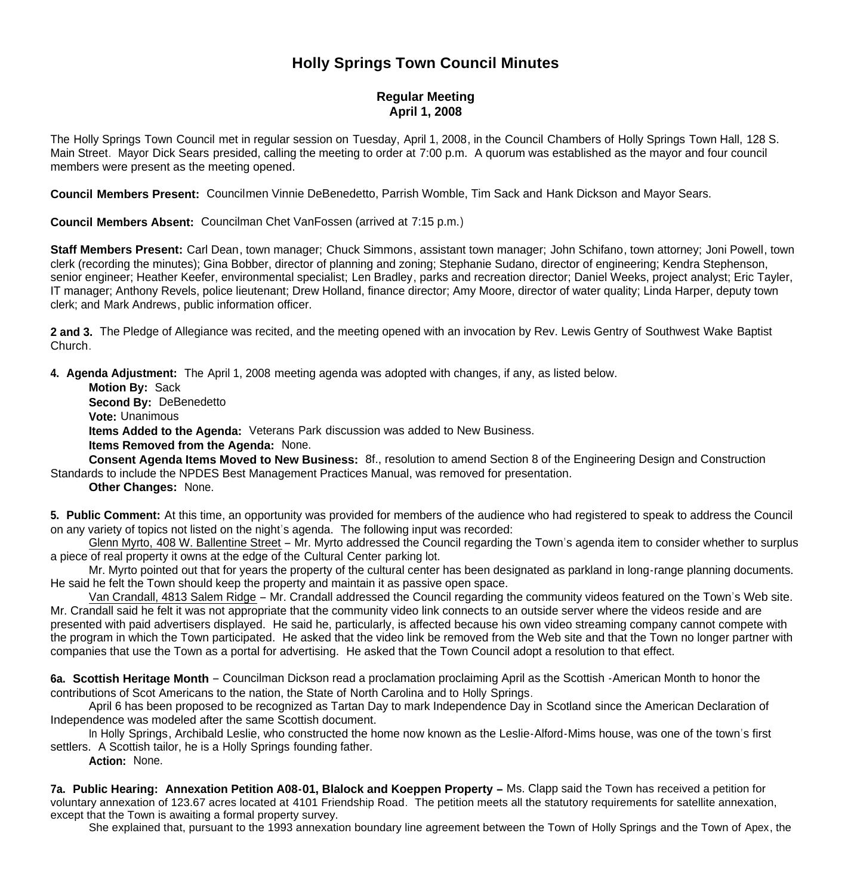## **Holly Springs Town Council Minutes**

## **Regular Meeting April 1, 2008**

The Holly Springs Town Council met in regular session on Tuesday, April 1, 2008, in the Council Chambers of Holly Springs Town Hall, 128 S. Main Street. Mayor Dick Sears presided, calling the meeting to order at 7:00 p.m. A quorum was established as the mayor and four council members were present as the meeting opened.

**Council Members Present:** Councilmen Vinnie DeBenedetto, Parrish Womble, Tim Sack and Hank Dickson and Mayor Sears.

**Council Members Absent:** Councilman Chet VanFossen (arrived at 7:15 p.m.)

**Staff Members Present:** Carl Dean, town manager; Chuck Simmons, assistant town manager; John Schifano, town attorney; Joni Powell, town clerk (recording the minutes); Gina Bobber, director of planning and zoning; Stephanie Sudano, director of engineering; Kendra Stephenson, senior engineer; Heather Keefer, environmental specialist; Len Bradley, parks and recreation director; Daniel Weeks, project analyst; Eric Tayler, IT manager; Anthony Revels, police lieutenant; Drew Holland, finance director; Amy Moore, director of water quality; Linda Harper, deputy town clerk; and Mark Andrews, public information officer.

**2 and 3.** The Pledge of Allegiance was recited, and the meeting opened with an invocation by Rev. Lewis Gentry of Southwest Wake Baptist Church.

**4. Agenda Adjustment:** The April 1, 2008 meeting agenda was adopted with changes, if any, as listed below.

 **Motion By:** Sack **Second By:** DeBenedetto **Vote:** Unanimous  **Items Added to the Agenda:** Veterans Park discussion was added to New Business. **Items Removed from the Agenda:** None.

 **Consent Agenda Items Moved to New Business:** 8f., resolution to amend Section 8 of the Engineering Design and Construction Standards to include the NPDES Best Management Practices Manual, was removed for presentation.

**Other Changes:** None.

**5. Public Comment:** At this time, an opportunity was provided for members of the audience who had registered to speak to address the Council on any variety of topics not listed on the night's agenda. The following input was recorded:

 Glenn Myrto, 408 W. Ballentine Street – Mr. Myrto addressed the Council regarding the Town's agenda item to consider whether to surplus a piece of real property it owns at the edge of the Cultural Center parking lot.

 Mr. Myrto pointed out that for years the property of the cultural center has been designated as parkland in long-range planning documents. He said he felt the Town should keep the property and maintain it as passive open space.

 Van Crandall, 4813 Salem Ridge – Mr. Crandall addressed the Council regarding the community videos featured on the Town's Web site. Mr. Crandall said he felt it was not appropriate that the community video link connects to an outside server where the videos reside and are presented with paid advertisers displayed. He said he, particularly, is affected because his own video streaming company cannot compete with the program in which the Town participated. He asked that the video link be removed from the Web site and that the Town no longer partner with companies that use the Town as a portal for advertising. He asked that the Town Council adopt a resolution to that effect.

**6a. Scottish Heritage Month** – Councilman Dickson read a proclamation proclaiming April as the Scottish -American Month to honor the contributions of Scot Americans to the nation, the State of North Carolina and to Holly Springs.

 April 6 has been proposed to be recognized as Tartan Day to mark Independence Day in Scotland since the American Declaration of Independence was modeled after the same Scottish document.

 In Holly Springs, Archibald Leslie, who constructed the home now known as the Leslie-Alford-Mims house, was one of the town's first settlers. A Scottish tailor, he is a Holly Springs founding father.

**Action:** None.

**7a. Public Hearing: Annexation Petition A08-01, Blalock and Koeppen Property –** Ms. Clapp said the Town has received a petition for voluntary annexation of 123.67 acres located at 4101 Friendship Road. The petition meets all the statutory requirements for satellite annexation, except that the Town is awaiting a formal property survey.

She explained that, pursuant to the 1993 annexation boundary line agreement between the Town of Holly Springs and the Town of Apex, the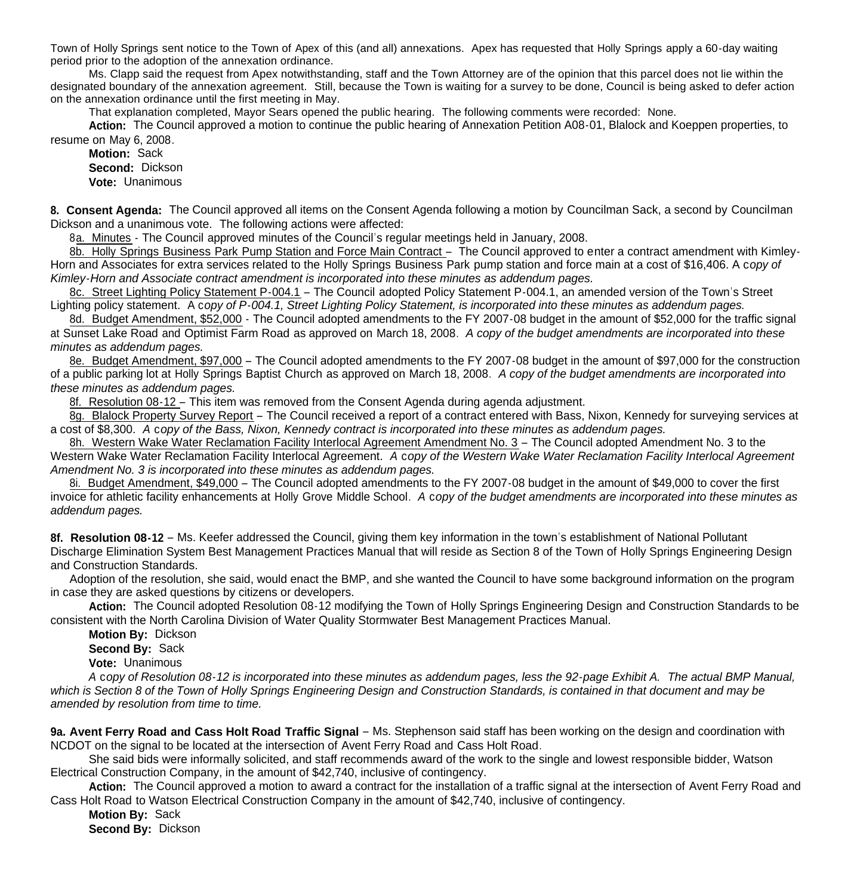Town of Holly Springs sent notice to the Town of Apex of this (and all) annexations. Apex has requested that Holly Springs apply a 60-day waiting period prior to the adoption of the annexation ordinance.

Ms. Clapp said the request from Apex notwithstanding, staff and the Town Attorney are of the opinion that this parcel does not lie within the designated boundary of the annexation agreement. Still, because the Town is waiting for a survey to be done, Council is being asked to defer action on the annexation ordinance until the first meeting in May.

That explanation completed, Mayor Sears opened the public hearing. The following comments were recorded: None.

**Action:** The Council approved a motion to continue the public hearing of Annexation Petition A08-01, Blalock and Koeppen properties, to resume on May 6, 2008.

**Motion:** Sack **Second:** Dickson **Vote:** Unanimous

**8. Consent Agenda:** The Council approved all items on the Consent Agenda following a motion by Councilman Sack, a second by Councilman Dickson and a unanimous vote. The following actions were affected:

8a. Minutes - The Council approved minutes of the Council's regular meetings held in January, 2008.

8b. Holly Springs Business Park Pump Station and Force Main Contract – The Council approved to enter a contract amendment with Kimley-Horn and Associates for extra services related to the Holly Springs Business Park pump station and force main at a cost of \$16,406. A c*opy of Kimley-Horn and Associate contract amendment is incorporated into these minutes as addendum pages.*

 8c. Street Lighting Policy Statement P-004.1 – The Council adopted Policy Statement P-004.1, an amended version of the Town's Street Lighting policy statement. A c*opy of P-004.1, Street Lighting Policy Statement, is incorporated into these minutes as addendum pages.*

8d. Budget Amendment, \$52,000 - The Council adopted amendments to the FY 2007-08 budget in the amount of \$52,000 for the traffic signal at Sunset Lake Road and Optimist Farm Road as approved on March 18, 2008. *A copy of the budget amendments are incorporated into these minutes as addendum pages.*

 8e. Budget Amendment, \$97,000 – The Council adopted amendments to the FY 2007-08 budget in the amount of \$97,000 for the construction of a public parking lot at Holly Springs Baptist Church as approved on March 18, 2008.*A copy of the budget amendments are incorporated into these minutes as addendum pages.*

8f. Resolution 08-12 – This item was removed from the Consent Agenda during agenda adjustment.

8g. Blalock Property Survey Report – The Council received a report of a contract entered with Bass, Nixon, Kennedy for surveying services at a cost of \$8,300. *A* c*opy of the Bass, Nixon, Kennedy contract is incorporated into these minutes as addendum pages.*

 8h. Western Wake Water Reclamation Facility Interlocal Agreement Amendment No. 3 – The Council adopted Amendment No. 3 to the Western Wake Water Reclamation Facility Interlocal Agreement. *A* c*opy of the Western Wake Water Reclamation Facility Interlocal Agreement Amendment No. 3 is incorporated into these minutes as addendum pages.*

 8i. Budget Amendment, \$49,000 – The Council adopted amendments to the FY 2007-08 budget in the amount of \$49,000 to cover the first invoice for athletic facility enhancements at Holly Grove Middle School. *A* c*opy of the budget amendments are incorporated into these minutes as addendum pages.*

**8f. Resolution 08-12** – Ms. Keefer addressed the Council, giving them key information in the town's establishment of National Pollutant Discharge Elimination System Best Management Practices Manual that will reside as Section 8 of the Town of Holly Springs Engineering Design and Construction Standards.

 Adoption of the resolution, she said, would enact the BMP, and she wanted the Council to have some background information on the program in case they are asked questions by citizens or developers.

 **Action:** The Council adopted Resolution 08-12 modifying the Town of Holly Springs Engineering Design and Construction Standards to be consistent with the North Carolina Division of Water Quality Stormwater Best Management Practices Manual.

**Motion By:** Dickson

**Second By:** Sack

**Vote:** Unanimous

 *A* c*opy of Resolution 08-12 is incorporated into these minutes as addendum pages, less the 92-page Exhibit A. The actual BMP Manual, which is Section 8 of the Town of Holly Springs Engineering Design and Construction Standards, is contained in that document and may be amended by resolution from time to time.*

**9a. Avent Ferry Road and Cass Holt Road Traffic Signal** – Ms. Stephenson said staff has been working on the design and coordination with NCDOT on the signal to be located at the intersection of Avent Ferry Road and Cass Holt Road.

 She said bids were informally solicited, and staff recommends award of the work to the single and lowest responsible bidder, Watson Electrical Construction Company, in the amount of \$42,740, inclusive of contingency.

 **Action:** The Council approved a motion to award a contract for the installation of a traffic signal at the intersection of Avent Ferry Road and Cass Holt Road to Watson Electrical Construction Company in the amount of \$42,740, inclusive of contingency.

**Motion By:** Sack

**Second By:** Dickson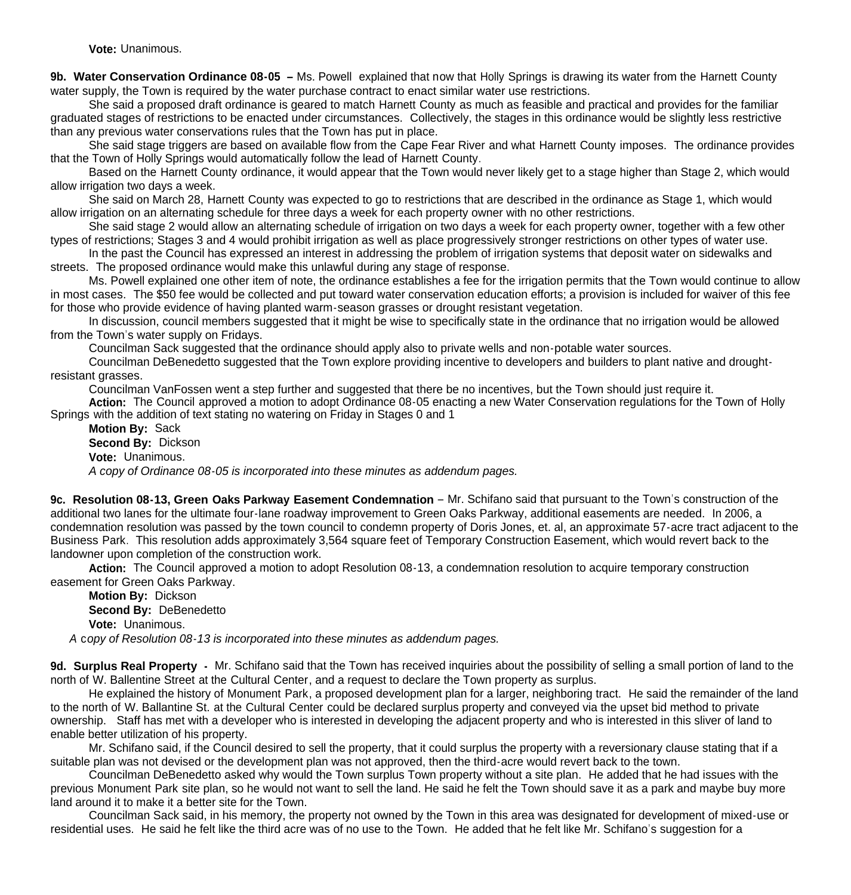**Vote:** Unanimous.

**9b. Water Conservation Ordinance 08-05 –** Ms. Powell explained that now that Holly Springs is drawing its water from the Harnett County water supply, the Town is required by the water purchase contract to enact similar water use restrictions.

 She said a proposed draft ordinance is geared to match Harnett County as much as feasible and practical and provides for the familiar graduated stages of restrictions to be enacted under circumstances. Collectively, the stages in this ordinance would be slightly less restrictive than any previous water conservations rules that the Town has put in place.

 She said stage triggers are based on available flow from the Cape Fear River and what Harnett County imposes. The ordinance provides that the Town of Holly Springs would automatically follow the lead of Harnett County.

 Based on the Harnett County ordinance, it would appear that the Town would never likely get to a stage higher than Stage 2, which would allow irrigation two days a week.

 She said on March 28, Harnett County was expected to go to restrictions that are described in the ordinance as Stage 1, which would allow irrigation on an alternating schedule for three days a week for each property owner with no other restrictions.

 She said stage 2 would allow an alternating schedule of irrigation on two days a week for each property owner, together with a few other types of restrictions; Stages 3 and 4 would prohibit irrigation as well as place progressively stronger restrictions on other types of water use.

 In the past the Council has expressed an interest in addressing the problem of irrigation systems that deposit water on sidewalks and streets. The proposed ordinance would make this unlawful during any stage of response.

 Ms. Powell explained one other item of note, the ordinance establishes a fee for the irrigation permits that the Town would continue to allow in most cases. The \$50 fee would be collected and put toward water conservation education efforts; a provision is included for waiver of this fee for those who provide evidence of having planted warm-season grasses or drought resistant vegetation.

In discussion, council members suggested that it might be wise to specifically state in the ordinance that no irrigation would be allowed from the Town's water supply on Fridays.

Councilman Sack suggested that the ordinance should apply also to private wells and non-potable water sources.

 Councilman DeBenedetto suggested that the Town explore providing incentive to developers and builders to plant native and droughtresistant grasses.

Councilman VanFossen went a step further and suggested that there be no incentives, but the Town should just require it.

 **Action:** The Council approved a motion to adopt Ordinance 08-05 enacting a new Water Conservation regulations for the Town of Holly Springs with the addition of text stating no watering on Friday in Stages 0 and 1

 **Motion By:** Sack **Second By:** Dickson **Vote:** Unanimous. *A copy of Ordinance 08-05 is incorporated into these minutes as addendum pages.*

**9c. Resolution 08-13, Green Oaks Parkway Easement Condemnation** – Mr. Schifano said that pursuant to the Town's construction of the additional two lanes for the ultimate four-lane roadway improvement to Green Oaks Parkway, additional easements are needed. In 2006, a condemnation resolution was passed by the town council to condemn property of Doris Jones, et. al, an approximate 57-acre tract adjacent to the Business Park. This resolution adds approximately 3,564 square feet of Temporary Construction Easement, which would revert back to the landowner upon completion of the construction work.

**Action:** The Council approved a motion to adopt Resolution 08-13, a condemnation resolution to acquire temporary construction easement for Green Oaks Parkway.

**Motion By:** Dickson

 **Second By:** DeBenedetto **Vote:** Unanimous.

 *A* c*opy of Resolution 08-13 is incorporated into these minutes as addendum pages.*

**9d. Surplus Real Property -** Mr. Schifano said that the Town has received inquiries about the possibility of selling a small portion of land to the north of W. Ballentine Street at the Cultural Center, and a request to declare the Town property as surplus.

 He explained the history of Monument Park, a proposed development plan for a larger, neighboring tract. He said the remainder of the land to the north of W. Ballantine St. at the Cultural Center could be declared surplus property and conveyed via the upset bid method to private ownership. Staff has met with a developer who is interested in developing the adjacent property and who is interested in this sliver of land to enable better utilization of his property.

 Mr. Schifano said, if the Council desired to sell the property, that it could surplus the property with a reversionary clause stating that if a suitable plan was not devised or the development plan was not approved, then the third-acre would revert back to the town.

 Councilman DeBenedetto asked why would the Town surplus Town property without a site plan. He added that he had issues with the previous Monument Park site plan, so he would not want to sell the land. He said he felt the Town should save it as a park and maybe buy more land around it to make it a better site for the Town.

 Councilman Sack said, in his memory, the property not owned by the Town in this area was designated for development of mixed-use or residential uses. He said he felt like the third acre was of no use to the Town. He added that he felt like Mr. Schifano's suggestion for a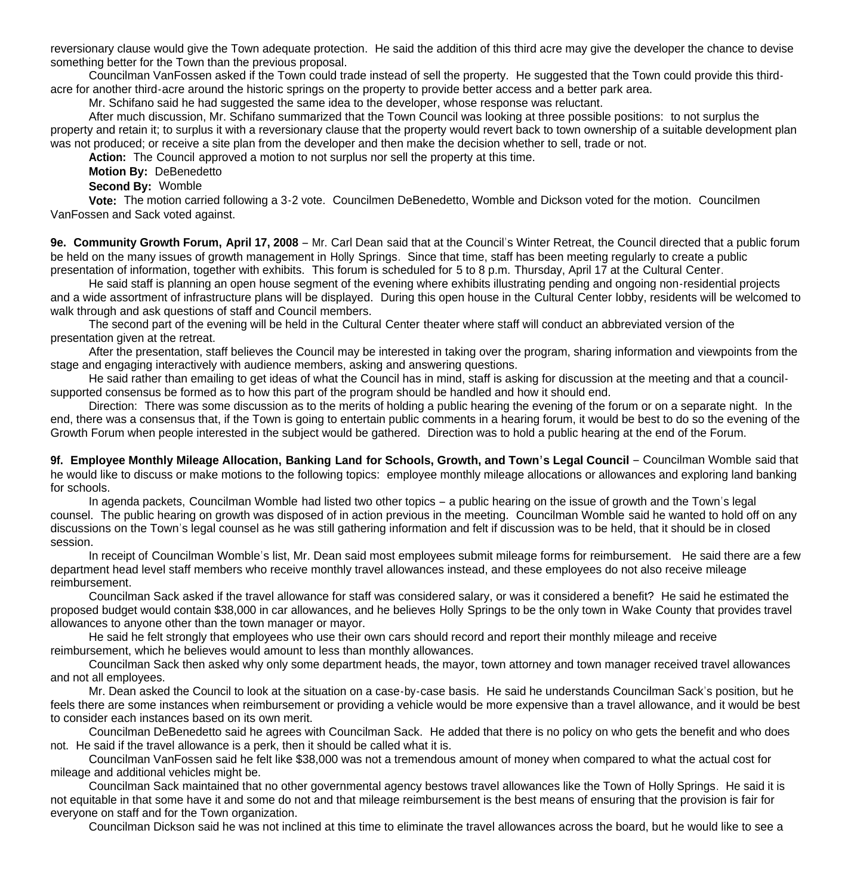reversionary clause would give the Town adequate protection. He said the addition of this third acre may give the developer the chance to devise something better for the Town than the previous proposal.

 Councilman VanFossen asked if the Town could trade instead of sell the property. He suggested that the Town could provide this thirdacre for another third-acre around the historic springs on the property to provide better access and a better park area.

Mr. Schifano said he had suggested the same idea to the developer, whose response was reluctant.

 After much discussion, Mr. Schifano summarized that the Town Council was looking at three possible positions: to not surplus the property and retain it; to surplus it with a reversionary clause that the property would revert back to town ownership of a suitable development plan was not produced; or receive a site plan from the developer and then make the decision whether to sell, trade or not.

Action: The Council approved a motion to not surplus nor sell the property at this time.

**Motion By:** DeBenedetto

**Second By:** Womble

 **Vote:** The motion carried following a 3-2 vote. Councilmen DeBenedetto, Womble and Dickson voted for the motion. Councilmen VanFossen and Sack voted against.

**9e. Community Growth Forum, April 17, 2008** – Mr. Carl Dean said that at the Council's Winter Retreat, the Council directed that a public forum be held on the many issues of growth management in Holly Springs. Since that time, staff has been meeting regularly to create a public presentation of information, together with exhibits. This forum is scheduled for 5 to 8 p.m. Thursday, April 17 at the Cultural Center.

 He said staff is planning an open house segment of the evening where exhibits illustrating pending and ongoing non-residential projects and a wide assortment of infrastructure plans will be displayed. During this open house in the Cultural Center lobby, residents will be welcomed to walk through and ask questions of staff and Council members.

 The second part of the evening will be held in the Cultural Center theater where staff will conduct an abbreviated version of the presentation given at the retreat.

 After the presentation, staff believes the Council may be interested in taking over the program, sharing information and viewpoints from the stage and engaging interactively with audience members, asking and answering questions.

 He said rather than emailing to get ideas of what the Council has in mind, staff is asking for discussion at the meeting and that a councilsupported consensus be formed as to how this part of the program should be handled and how it should end.

Direction: There was some discussion as to the merits of holding a public hearing the evening of the forum or on a separate night. In the end, there was a consensus that, if the Town is going to entertain public comments in a hearing forum, it would be best to do so the evening of the Growth Forum when people interested in the subject would be gathered. Direction was to hold a public hearing at the end of the Forum.

**9f. Employee Monthly Mileage Allocation, Banking Land for Schools, Growth, and Town's Legal Council** – Councilman Womble said that he would like to discuss or make motions to the following topics: employee monthly mileage allocations or allowances and exploring land banking for schools.

 In agenda packets, Councilman Womble had listed two other topics – a public hearing on the issue of growth and the Town's legal counsel. The public hearing on growth was disposed of in action previous in the meeting. Councilman Womble said he wanted to hold off on any discussions on the Town's legal counsel as he was still gathering information and felt if discussion was to be held, that it should be in closed session.

 In receipt of Councilman Womble's list, Mr. Dean said most employees submit mileage forms for reimbursement. He said there are a few department head level staff members who receive monthly travel allowances instead, and these employees do not also receive mileage reimbursement.

 Councilman Sack asked if the travel allowance for staff was considered salary, or was it considered a benefit? He said he estimated the proposed budget would contain \$38,000 in car allowances, and he believes Holly Springs to be the only town in Wake County that provides travel allowances to anyone other than the town manager or mayor.

 He said he felt strongly that employees who use their own cars should record and report their monthly mileage and receive reimbursement, which he believes would amount to less than monthly allowances.

 Councilman Sack then asked why only some department heads, the mayor, town attorney and town manager received travel allowances and not all employees.

 Mr. Dean asked the Council to look at the situation on a case-by-case basis. He said he understands Councilman Sack's position, but he feels there are some instances when reimbursement or providing a vehicle would be more expensive than a travel allowance, and it would be best to consider each instances based on its own merit.

 Councilman DeBenedetto said he agrees with Councilman Sack. He added that there is no policy on who gets the benefit and who does not. He said if the travel allowance is a perk, then it should be called what it is.

 Councilman VanFossen said he felt like \$38,000 was not a tremendous amount of money when compared to what the actual cost for mileage and additional vehicles might be.

 Councilman Sack maintained that no other governmental agency bestows travel allowances like the Town of Holly Springs. He said it is not equitable in that some have it and some do not and that mileage reimbursement is the best means of ensuring that the provision is fair for everyone on staff and for the Town organization.

Councilman Dickson said he was not inclined at this time to eliminate the travel allowances across the board, but he would like to see a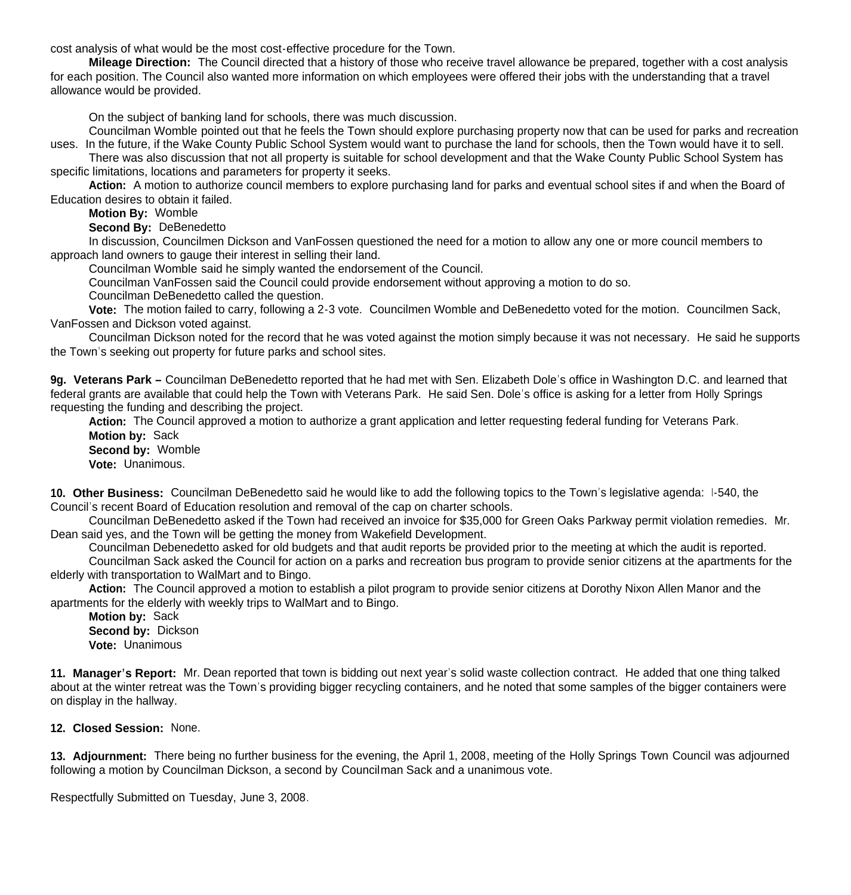cost analysis of what would be the most cost-effective procedure for the Town.

 **Mileage Direction:** The Council directed that a history of those who receive travel allowance be prepared, together with a cost analysis for each position. The Council also wanted more information on which employees were offered their jobs with the understanding that a travel allowance would be provided.

On the subject of banking land for schools, there was much discussion.

 Councilman Womble pointed out that he feels the Town should explore purchasing property now that can be used for parks and recreation uses. In the future, if the Wake County Public School System would want to purchase the land for schools, then the Town would have it to sell.

 There was also discussion that not all property is suitable for school development and that the Wake County Public School System has specific limitations, locations and parameters for property it seeks.

 **Action:** A motion to authorize council members to explore purchasing land for parks and eventual school sites if and when the Board of Education desires to obtain it failed.

**Motion By:** Womble

**Second By:** DeBenedetto

 In discussion, Councilmen Dickson and VanFossen questioned the need for a motion to allow any one or more council members to approach land owners to gauge their interest in selling their land.

Councilman Womble said he simply wanted the endorsement of the Council.

Councilman VanFossen said the Council could provide endorsement without approving a motion to do so.

Councilman DeBenedetto called the question.

 **Vote:** The motion failed to carry, following a 2-3 vote. Councilmen Womble and DeBenedetto voted for the motion. Councilmen Sack, VanFossen and Dickson voted against.

Councilman Dickson noted for the record that he was voted against the motion simply because it was not necessary. He said he supports the Town's seeking out property for future parks and school sites.

**9g. Veterans Park –** Councilman DeBenedetto reported that he had met with Sen. Elizabeth Dole's office in Washington D.C. and learned that federal grants are available that could help the Town with Veterans Park. He said Sen. Dole's office is asking for a letter from Holly Springs requesting the funding and describing the project.

 **Action:** The Council approved a motion to authorize a grant application and letter requesting federal funding for Veterans Park. **Motion by:** Sack **Second by:** Womble **Vote:** Unanimous.

**10. Other Business:** Councilman DeBenedetto said he would like to add the following topics to the Town's legislative agenda: I-540, the Council's recent Board of Education resolution and removal of the cap on charter schools.

 Councilman DeBenedetto asked if the Town had received an invoice for \$35,000 for Green Oaks Parkway permit violation remedies. Mr. Dean said yes, and the Town will be getting the money from Wakefield Development.

Councilman Debenedetto asked for old budgets and that audit reports be provided prior to the meeting at which the audit is reported.

 Councilman Sack asked the Council for action on a parks and recreation bus program to provide senior citizens at the apartments for the elderly with transportation to WalMart and to Bingo.

 **Action:** The Council approved a motion to establish a pilot program to provide senior citizens at Dorothy Nixon Allen Manor and the apartments for the elderly with weekly trips to WalMart and to Bingo.

 **Motion by:** Sack **Second by:** Dickson **Vote:** Unanimous

**11. Manager's Report:** Mr. Dean reported that town is bidding out next year's solid waste collection contract. He added that one thing talked about at the winter retreat was the Town's providing bigger recycling containers, and he noted that some samples of the bigger containers were on display in the hallway.

**12. Closed Session:** None.

**13. Adjournment:** There being no further business for the evening, the April 1, 2008, meeting of the Holly Springs Town Council was adjourned following a motion by Councilman Dickson, a second by Councilman Sack and a unanimous vote.

Respectfully Submitted on Tuesday, June 3, 2008.